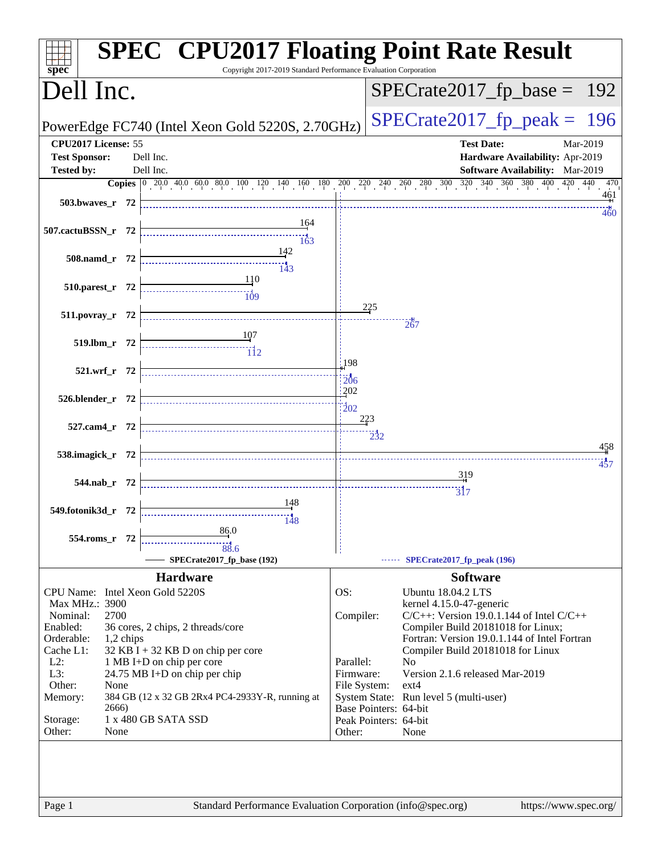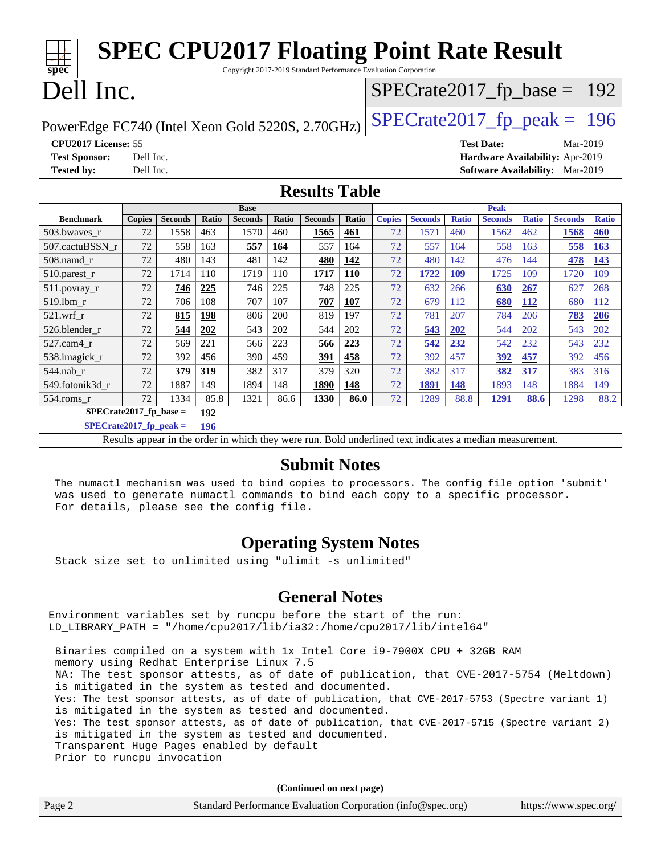| <b>SPEC CPU2017 Floating Point Rate Result</b><br>Copyright 2017-2019 Standard Performance Evaluation Corporation |               |                |       |                |              |                |            |               |                |              |                               |              |                                        |              |
|-------------------------------------------------------------------------------------------------------------------|---------------|----------------|-------|----------------|--------------|----------------|------------|---------------|----------------|--------------|-------------------------------|--------------|----------------------------------------|--------------|
| $spec^*$<br>$SPECTate2017_fp\_base = 192$                                                                         |               |                |       |                |              |                |            |               |                |              |                               |              |                                        |              |
| Dell Inc.                                                                                                         |               |                |       |                |              |                |            |               |                |              |                               |              |                                        |              |
|                                                                                                                   |               |                |       |                |              |                |            |               |                |              | $SPECTate2017$ _fp_peak = 196 |              |                                        |              |
| PowerEdge FC740 (Intel Xeon Gold 5220S, 2.70GHz)                                                                  |               |                |       |                |              |                |            |               |                |              |                               |              |                                        |              |
| CPU2017 License: 55                                                                                               |               |                |       |                |              |                |            |               |                |              | <b>Test Date:</b>             |              | Mar-2019                               |              |
| <b>Test Sponsor:</b>                                                                                              | Dell Inc.     |                |       |                |              |                |            |               |                |              |                               |              | Hardware Availability: Apr-2019        |              |
| <b>Tested by:</b>                                                                                                 | Dell Inc.     |                |       |                |              |                |            |               |                |              |                               |              | <b>Software Availability:</b> Mar-2019 |              |
| <b>Results Table</b>                                                                                              |               |                |       |                |              |                |            |               |                |              |                               |              |                                        |              |
|                                                                                                                   |               |                |       | <b>Base</b>    |              |                |            |               |                |              | <b>Peak</b>                   |              |                                        |              |
| <b>Benchmark</b>                                                                                                  | <b>Copies</b> | <b>Seconds</b> | Ratio | <b>Seconds</b> | <b>Ratio</b> | <b>Seconds</b> | Ratio      | <b>Copies</b> | <b>Seconds</b> | <b>Ratio</b> | <b>Seconds</b>                | <b>Ratio</b> | <b>Seconds</b>                         | <b>Ratio</b> |
| 503.bwaves_r                                                                                                      | 72            | 1558           | 463   | 1570           | 460          | 1565           | 461        | 72            | 1571           | 460          | 1562                          | 462          | 1568                                   | 460          |
| 507.cactuBSSN r                                                                                                   | 72            | 558            | 163   | 557            | 164          | 557            | 164        | 72            | 557            | 164          | 558                           | 163          | 558                                    | 163          |
| 508.namd_r                                                                                                        | 72            | 480            | 143   | 481            | 142          | 480            | 142        | 72            | 480            | 142          | 476                           | 144          | 478                                    | 143          |
| 510.parest_r                                                                                                      | 72            | 1714           | 110   | 1719           | 110          | 1717           | <b>110</b> | 72            | 1722           | 109          | 1725                          | 109          | 1720                                   | 109          |
| 511.povray_r                                                                                                      | 72            | 746            | 225   | 746            | 225          | 748            | 225        | 72            | 632            | 266          | 630                           | 267          | 627                                    | 268          |
| 519.lbm r                                                                                                         | 72            | 706            | 108   | 707            | 107          | 707            | 107        | 72            | 679            | 112          | 680                           | <u>112</u>   | 680                                    | 112          |
| 521.wrf r                                                                                                         | 72            | 815            | 198   | 806            | 200          | 819            | 197        | 72            | 781            | 207          | 784                           | 206          | 783                                    | 206          |
| 526.blender r                                                                                                     | 72            | 544            | 202   | 543            | 202          | 544            | 202        | 72            | 543            | 202          | 544                           | 202          | 543                                    | 202          |
| 527.cam4_r                                                                                                        | 72            | 569            | 221   | 566            | 223          | 566            | 223        | 72            | 542            | 232          | 542                           | 232          | 543                                    | 232          |
| 538.imagick_r                                                                                                     | 72            | 392            | 456   | 390            | 459          | 391            | 458        | 72            | 392            | 457          | 392                           | 457          | 392                                    | 456          |
| 544.nab_r                                                                                                         | 72            | 379            | 319   | 382            | 317          | 379            | 320        | 72            | 382            | 317          | 382                           | 317          | 383                                    | 316          |
| 549.fotonik3d r                                                                                                   | 72            | 1887           | 149   | 1894           | 148          | 1890           | 148        | 72            | 1891           | 148          | 1893                          | 148          | 1884                                   | 149          |
| 554.roms r                                                                                                        | 72            | 1334           | 85.8  | 1321           | 86.6         | 1330           | 86.0       | 72            | 1289           | 88.8         | 1291                          | 88.6         | 1298                                   | 88.2         |
| $SPECrate2017_fp\_base =$                                                                                         |               |                | 192   |                |              |                |            |               |                |              |                               |              |                                        |              |
| $SPECrate2017_fp_peak =$                                                                                          |               |                | 196   |                |              |                |            |               |                |              |                               |              |                                        |              |

Results appear in the [order in which they were run.](http://www.spec.org/auto/cpu2017/Docs/result-fields.html#RunOrder) Bold underlined text [indicates a median measurement.](http://www.spec.org/auto/cpu2017/Docs/result-fields.html#Median)

### **[Submit Notes](http://www.spec.org/auto/cpu2017/Docs/result-fields.html#SubmitNotes)**

 The numactl mechanism was used to bind copies to processors. The config file option 'submit' was used to generate numactl commands to bind each copy to a specific processor. For details, please see the config file.

## **[Operating System Notes](http://www.spec.org/auto/cpu2017/Docs/result-fields.html#OperatingSystemNotes)**

Stack size set to unlimited using "ulimit -s unlimited"

## **[General Notes](http://www.spec.org/auto/cpu2017/Docs/result-fields.html#GeneralNotes)**

Environment variables set by runcpu before the start of the run: LD\_LIBRARY\_PATH = "/home/cpu2017/lib/ia32:/home/cpu2017/lib/intel64"

 Binaries compiled on a system with 1x Intel Core i9-7900X CPU + 32GB RAM memory using Redhat Enterprise Linux 7.5 NA: The test sponsor attests, as of date of publication, that CVE-2017-5754 (Meltdown) is mitigated in the system as tested and documented. Yes: The test sponsor attests, as of date of publication, that CVE-2017-5753 (Spectre variant 1) is mitigated in the system as tested and documented. Yes: The test sponsor attests, as of date of publication, that CVE-2017-5715 (Spectre variant 2) is mitigated in the system as tested and documented. Transparent Huge Pages enabled by default Prior to runcpu invocation

|        | (Continued on next page)                                    |                       |
|--------|-------------------------------------------------------------|-----------------------|
| Page 2 | Standard Performance Evaluation Corporation (info@spec.org) | https://www.spec.org/ |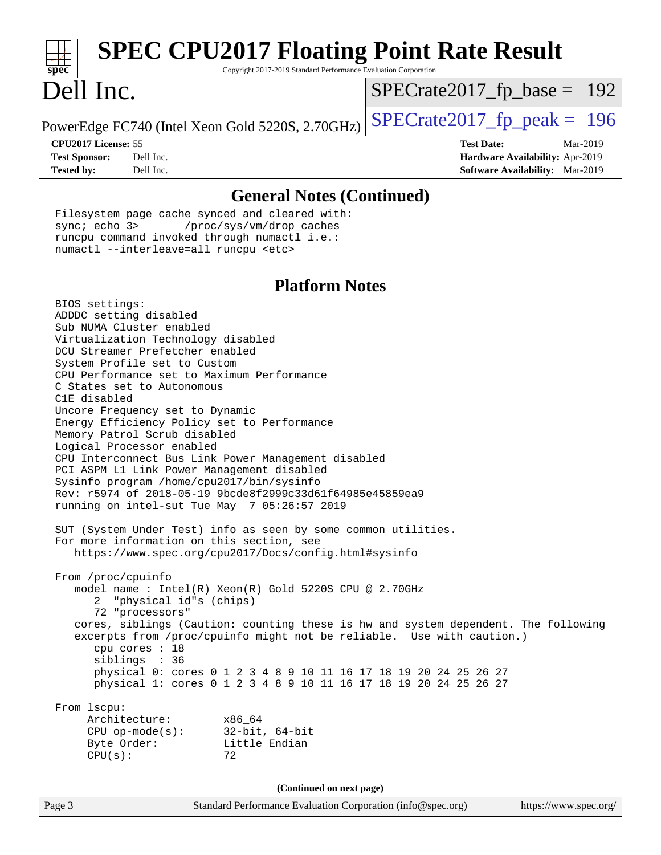| <b>SPEC CPU2017 Floating Point Rate Result</b><br>$spec^*$<br>Copyright 2017-2019 Standard Performance Evaluation Corporation                                                                  |                                        |  |  |  |
|------------------------------------------------------------------------------------------------------------------------------------------------------------------------------------------------|----------------------------------------|--|--|--|
|                                                                                                                                                                                                |                                        |  |  |  |
| Dell Inc.                                                                                                                                                                                      | $SPECrate2017_fp\_base = 192$          |  |  |  |
| PowerEdge FC740 (Intel Xeon Gold 5220S, 2.70GHz)                                                                                                                                               | $SPECrate2017fp peak = 196$            |  |  |  |
| CPU2017 License: 55                                                                                                                                                                            | <b>Test Date:</b><br>Mar-2019          |  |  |  |
| Dell Inc.<br><b>Test Sponsor:</b>                                                                                                                                                              | Hardware Availability: Apr-2019        |  |  |  |
| Dell Inc.<br><b>Tested by:</b>                                                                                                                                                                 | <b>Software Availability:</b> Mar-2019 |  |  |  |
| <b>General Notes (Continued)</b>                                                                                                                                                               |                                        |  |  |  |
| Filesystem page cache synced and cleared with:<br>sync $i$ echo $3$<br>/proc/sys/vm/drop_caches<br>runcpu command invoked through numactl i.e.:<br>numactl --interleave=all runcpu <etc></etc> |                                        |  |  |  |
| <b>Platform Notes</b>                                                                                                                                                                          |                                        |  |  |  |
| BIOS settings:                                                                                                                                                                                 |                                        |  |  |  |
| ADDDC setting disabled                                                                                                                                                                         |                                        |  |  |  |
| Sub NUMA Cluster enabled                                                                                                                                                                       |                                        |  |  |  |
| Virtualization Technology disabled                                                                                                                                                             |                                        |  |  |  |
| DCU Streamer Prefetcher enabled                                                                                                                                                                |                                        |  |  |  |
| System Profile set to Custom<br>CPU Performance set to Maximum Performance                                                                                                                     |                                        |  |  |  |
| C States set to Autonomous                                                                                                                                                                     |                                        |  |  |  |
| C1E disabled                                                                                                                                                                                   |                                        |  |  |  |
| Uncore Frequency set to Dynamic                                                                                                                                                                |                                        |  |  |  |
| Energy Efficiency Policy set to Performance                                                                                                                                                    |                                        |  |  |  |
| Memory Patrol Scrub disabled                                                                                                                                                                   |                                        |  |  |  |
| Logical Processor enabled                                                                                                                                                                      |                                        |  |  |  |
| CPU Interconnect Bus Link Power Management disabled                                                                                                                                            |                                        |  |  |  |
| PCI ASPM L1 Link Power Management disabled                                                                                                                                                     |                                        |  |  |  |
| Sysinfo program /home/cpu2017/bin/sysinfo<br>Rev: r5974 of 2018-05-19 9bcde8f2999c33d61f64985e45859ea9                                                                                         |                                        |  |  |  |
| running on intel-sut Tue May 7 05:26:57 2019                                                                                                                                                   |                                        |  |  |  |
| SUT (System Under Test) info as seen by some common utilities.                                                                                                                                 |                                        |  |  |  |
| For more information on this section, see                                                                                                                                                      |                                        |  |  |  |
| https://www.spec.org/cpu2017/Docs/config.html#sysinfo                                                                                                                                          |                                        |  |  |  |
| From /proc/cpuinfo                                                                                                                                                                             |                                        |  |  |  |

 model name : Intel(R) Xeon(R) Gold 5220S CPU @ 2.70GHz 2 "physical id"s (chips) 72 "processors" cores, siblings (Caution: counting these is hw and system dependent. The following excerpts from /proc/cpuinfo might not be reliable. Use with caution.) cpu cores : 18 siblings : 36 physical 0: cores 0 1 2 3 4 8 9 10 11 16 17 18 19 20 24 25 26 27 physical 1: cores 0 1 2 3 4 8 9 10 11 16 17 18 19 20 24 25 26 27

From lscpu:

| Architecture:         | x86 64               |
|-----------------------|----------------------|
| $CPU$ op-mode $(s)$ : | $32$ -bit, $64$ -bit |
| Byte Order:           | Little Endian        |
| CPU(s):               | 72                   |
|                       |                      |

**(Continued on next page)**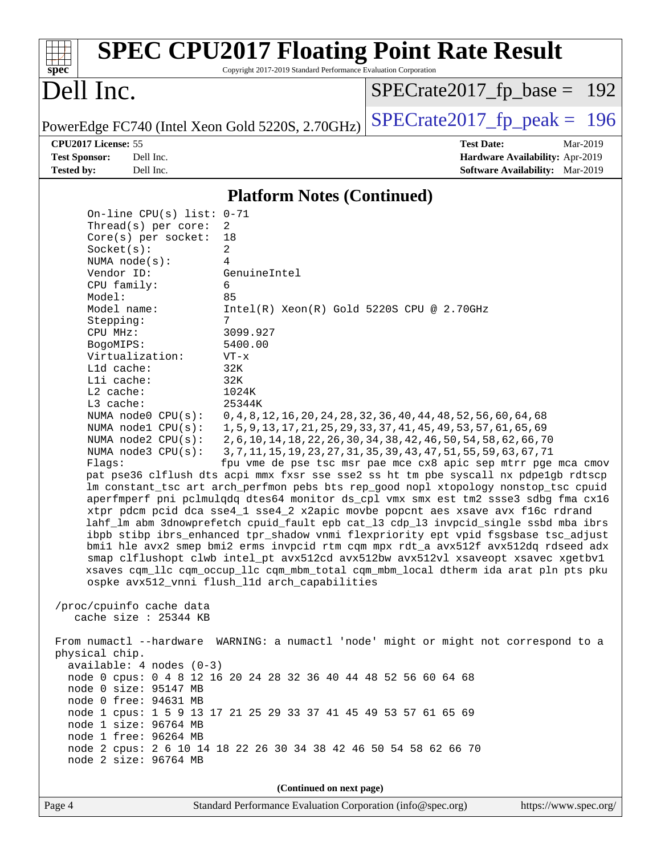| $spec^*$                                                                                                                                                                                                                                                                                                                                                                                                                                                                                                                                                                                                                                                                                                                                                                                                                                                                                                                                                                                                                                                                                                                                                                                                                                                                                                             | Copyright 2017-2019 Standard Performance Evaluation Corporation | <b>SPEC CPU2017 Floating Point Rate Result</b>                                                      |  |  |  |
|----------------------------------------------------------------------------------------------------------------------------------------------------------------------------------------------------------------------------------------------------------------------------------------------------------------------------------------------------------------------------------------------------------------------------------------------------------------------------------------------------------------------------------------------------------------------------------------------------------------------------------------------------------------------------------------------------------------------------------------------------------------------------------------------------------------------------------------------------------------------------------------------------------------------------------------------------------------------------------------------------------------------------------------------------------------------------------------------------------------------------------------------------------------------------------------------------------------------------------------------------------------------------------------------------------------------|-----------------------------------------------------------------|-----------------------------------------------------------------------------------------------------|--|--|--|
| Dell Inc.                                                                                                                                                                                                                                                                                                                                                                                                                                                                                                                                                                                                                                                                                                                                                                                                                                                                                                                                                                                                                                                                                                                                                                                                                                                                                                            |                                                                 | $SPECrate2017_fp\_base = 192$                                                                       |  |  |  |
| PowerEdge FC740 (Intel Xeon Gold 5220S, 2.70GHz)                                                                                                                                                                                                                                                                                                                                                                                                                                                                                                                                                                                                                                                                                                                                                                                                                                                                                                                                                                                                                                                                                                                                                                                                                                                                     |                                                                 | $SPECTate2017$ _fp_peak = 196                                                                       |  |  |  |
| CPU2017 License: 55<br><b>Test Sponsor:</b><br>Dell Inc.<br><b>Tested by:</b><br>Dell Inc.                                                                                                                                                                                                                                                                                                                                                                                                                                                                                                                                                                                                                                                                                                                                                                                                                                                                                                                                                                                                                                                                                                                                                                                                                           |                                                                 | <b>Test Date:</b><br>Mar-2019<br>Hardware Availability: Apr-2019<br>Software Availability: Mar-2019 |  |  |  |
|                                                                                                                                                                                                                                                                                                                                                                                                                                                                                                                                                                                                                                                                                                                                                                                                                                                                                                                                                                                                                                                                                                                                                                                                                                                                                                                      | <b>Platform Notes (Continued)</b>                               |                                                                                                     |  |  |  |
| On-line CPU(s) list: 0-71                                                                                                                                                                                                                                                                                                                                                                                                                                                                                                                                                                                                                                                                                                                                                                                                                                                                                                                                                                                                                                                                                                                                                                                                                                                                                            |                                                                 |                                                                                                     |  |  |  |
| Thread(s) per core:<br>Core(s) per socket:                                                                                                                                                                                                                                                                                                                                                                                                                                                                                                                                                                                                                                                                                                                                                                                                                                                                                                                                                                                                                                                                                                                                                                                                                                                                           | 2<br>18                                                         |                                                                                                     |  |  |  |
| Socket(s):                                                                                                                                                                                                                                                                                                                                                                                                                                                                                                                                                                                                                                                                                                                                                                                                                                                                                                                                                                                                                                                                                                                                                                                                                                                                                                           | 2                                                               |                                                                                                     |  |  |  |
| NUMA node(s):                                                                                                                                                                                                                                                                                                                                                                                                                                                                                                                                                                                                                                                                                                                                                                                                                                                                                                                                                                                                                                                                                                                                                                                                                                                                                                        | 4                                                               |                                                                                                     |  |  |  |
| Vendor ID:                                                                                                                                                                                                                                                                                                                                                                                                                                                                                                                                                                                                                                                                                                                                                                                                                                                                                                                                                                                                                                                                                                                                                                                                                                                                                                           | GenuineIntel                                                    |                                                                                                     |  |  |  |
| CPU family:<br>Model:                                                                                                                                                                                                                                                                                                                                                                                                                                                                                                                                                                                                                                                                                                                                                                                                                                                                                                                                                                                                                                                                                                                                                                                                                                                                                                | 6<br>85                                                         |                                                                                                     |  |  |  |
| Model name:                                                                                                                                                                                                                                                                                                                                                                                                                                                                                                                                                                                                                                                                                                                                                                                                                                                                                                                                                                                                                                                                                                                                                                                                                                                                                                          | $Intel(R) Xeon(R) Gold 5220S CPU @ 2.70GHz$                     |                                                                                                     |  |  |  |
| Stepping:                                                                                                                                                                                                                                                                                                                                                                                                                                                                                                                                                                                                                                                                                                                                                                                                                                                                                                                                                                                                                                                                                                                                                                                                                                                                                                            | 7                                                               |                                                                                                     |  |  |  |
| CPU MHz:                                                                                                                                                                                                                                                                                                                                                                                                                                                                                                                                                                                                                                                                                                                                                                                                                                                                                                                                                                                                                                                                                                                                                                                                                                                                                                             | 3099.927                                                        |                                                                                                     |  |  |  |
| BogoMIPS:<br>Virtualization:                                                                                                                                                                                                                                                                                                                                                                                                                                                                                                                                                                                                                                                                                                                                                                                                                                                                                                                                                                                                                                                                                                                                                                                                                                                                                         | 5400.00<br>$VT - x$                                             |                                                                                                     |  |  |  |
| L1d cache:                                                                                                                                                                                                                                                                                                                                                                                                                                                                                                                                                                                                                                                                                                                                                                                                                                                                                                                                                                                                                                                                                                                                                                                                                                                                                                           | 32K                                                             |                                                                                                     |  |  |  |
| Lli cache:                                                                                                                                                                                                                                                                                                                                                                                                                                                                                                                                                                                                                                                                                                                                                                                                                                                                                                                                                                                                                                                                                                                                                                                                                                                                                                           | 32K                                                             |                                                                                                     |  |  |  |
| L2 cache:<br>L3 cache:                                                                                                                                                                                                                                                                                                                                                                                                                                                                                                                                                                                                                                                                                                                                                                                                                                                                                                                                                                                                                                                                                                                                                                                                                                                                                               | 1024K<br>25344K                                                 |                                                                                                     |  |  |  |
|                                                                                                                                                                                                                                                                                                                                                                                                                                                                                                                                                                                                                                                                                                                                                                                                                                                                                                                                                                                                                                                                                                                                                                                                                                                                                                                      |                                                                 |                                                                                                     |  |  |  |
| NUMA node0 CPU(s):<br>0, 4, 8, 12, 16, 20, 24, 28, 32, 36, 40, 44, 48, 52, 56, 60, 64, 68<br>NUMA nodel CPU(s):<br>1, 5, 9, 13, 17, 21, 25, 29, 33, 37, 41, 45, 49, 53, 57, 61, 65, 69<br>NUMA node2 CPU(s):<br>2, 6, 10, 14, 18, 22, 26, 30, 34, 38, 42, 46, 50, 54, 58, 62, 66, 70<br>3, 7, 11, 15, 19, 23, 27, 31, 35, 39, 43, 47, 51, 55, 59, 63, 67, 71<br>NUMA node3 CPU(s):<br>fpu vme de pse tsc msr pae mce cx8 apic sep mtrr pge mca cmov<br>Flags:<br>pat pse36 clflush dts acpi mmx fxsr sse sse2 ss ht tm pbe syscall nx pdpelgb rdtscp<br>lm constant_tsc art arch_perfmon pebs bts rep_good nopl xtopology nonstop_tsc cpuid<br>aperfmperf pni pclmulqdq dtes64 monitor ds_cpl vmx smx est tm2 ssse3 sdbg fma cx16<br>xtpr pdcm pcid dca sse4_1 sse4_2 x2apic movbe popcnt aes xsave avx f16c rdrand<br>lahf_lm abm 3dnowprefetch cpuid_fault epb cat_13 cdp_13 invpcid_single ssbd mba ibrs<br>ibpb stibp ibrs_enhanced tpr_shadow vnmi flexpriority ept vpid fsgsbase tsc_adjust<br>bmil hle avx2 smep bmi2 erms invpcid rtm cqm mpx rdt_a avx512f avx512dq rdseed adx<br>smap clflushopt clwb intel_pt avx512cd avx512bw avx512vl xsaveopt xsavec xgetbvl<br>xsaves cqm_llc cqm_occup_llc cqm_mbm_total cqm_mbm_local dtherm ida arat pln pts pku<br>ospke avx512_vnni flush_l1d arch_capabilities |                                                                 |                                                                                                     |  |  |  |
| /proc/cpuinfo cache data<br>cache size : 25344 KB                                                                                                                                                                                                                                                                                                                                                                                                                                                                                                                                                                                                                                                                                                                                                                                                                                                                                                                                                                                                                                                                                                                                                                                                                                                                    |                                                                 |                                                                                                     |  |  |  |
| physical chip.<br>$available: 4 nodes (0-3)$<br>node 0 cpus: 0 4 8 12 16 20 24 28 32 36 40 44 48 52 56 60 64 68<br>node 0 size: 95147 MB<br>node 0 free: 94631 MB<br>node 1 cpus: 1 5 9 13 17 21 25 29 33 37 41 45 49 53 57 61 65 69<br>node 1 size: 96764 MB<br>node 1 free: 96264 MB<br>node 2 cpus: 2 6 10 14 18 22 26 30 34 38 42 46 50 54 58 62 66 70<br>node 2 size: 96764 MB                                                                                                                                                                                                                                                                                                                                                                                                                                                                                                                                                                                                                                                                                                                                                                                                                                                                                                                                  |                                                                 | From numactl --hardware WARNING: a numactl 'node' might or might not correspond to a                |  |  |  |
|                                                                                                                                                                                                                                                                                                                                                                                                                                                                                                                                                                                                                                                                                                                                                                                                                                                                                                                                                                                                                                                                                                                                                                                                                                                                                                                      | (Continued on next page)                                        |                                                                                                     |  |  |  |

Page 4 Standard Performance Evaluation Corporation [\(info@spec.org\)](mailto:info@spec.org) <https://www.spec.org/>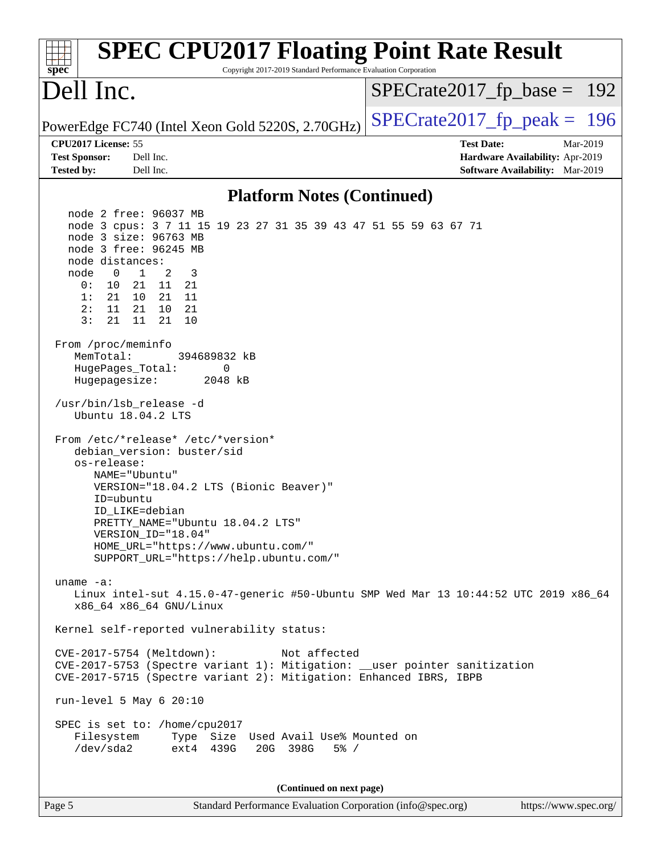| <b>SPEC CPU2017 Floating Point Rate Result</b><br>Copyright 2017-2019 Standard Performance Evaluation Corporation<br>spec <sup>®</sup>                                                                                                                                                                                                                                                                                                                                                                                                        |                                                                                                            |
|-----------------------------------------------------------------------------------------------------------------------------------------------------------------------------------------------------------------------------------------------------------------------------------------------------------------------------------------------------------------------------------------------------------------------------------------------------------------------------------------------------------------------------------------------|------------------------------------------------------------------------------------------------------------|
| Dell Inc.                                                                                                                                                                                                                                                                                                                                                                                                                                                                                                                                     | $SPECrate2017_fp\_base = 192$                                                                              |
| PowerEdge FC740 (Intel Xeon Gold 5220S, 2.70GHz)                                                                                                                                                                                                                                                                                                                                                                                                                                                                                              | $SPECTate2017$ _fp_peak = 196                                                                              |
| CPU2017 License: 55<br><b>Test Sponsor:</b><br>Dell Inc.<br><b>Tested by:</b><br>Dell Inc.                                                                                                                                                                                                                                                                                                                                                                                                                                                    | <b>Test Date:</b><br>Mar-2019<br>Hardware Availability: Apr-2019<br><b>Software Availability:</b> Mar-2019 |
| <b>Platform Notes (Continued)</b>                                                                                                                                                                                                                                                                                                                                                                                                                                                                                                             |                                                                                                            |
| node 2 free: 96037 MB<br>node 3 cpus: 3 7 11 15 19 23 27 31 35 39 43 47 51 55 59 63 67 71<br>node 3 size: 96763 MB<br>node 3 free: 96245 MB<br>node distances:<br>$\mathbf{1}$<br>node<br>$\overline{\phantom{0}}$<br>2<br>3<br>10<br>21 11 21<br>0 :<br>1:<br>21 10 21 11<br>$11 \quad 21 \quad 10$<br>21<br>2:<br>3:<br>21<br>11<br>21<br>10<br>From /proc/meminfo<br>MemTotal:<br>394689832 kB<br>HugePages_Total:<br>0<br>Hugepagesize:<br>2048 kB<br>/usr/bin/lsb_release -d<br>Ubuntu 18.04.2 LTS<br>From /etc/*release* /etc/*version* |                                                                                                            |
| debian_version: buster/sid<br>os-release:<br>NAME="Ubuntu"<br>VERSION="18.04.2 LTS (Bionic Beaver)"<br>ID=ubuntu<br>ID LIKE=debian<br>PRETTY_NAME="Ubuntu 18.04.2 LTS"<br>VERSION_ID="18.04"<br>HOME_URL="https://www.ubuntu.com/"<br>SUPPORT_URL="https://help.ubuntu.com/"                                                                                                                                                                                                                                                                  |                                                                                                            |
| uname $-a$ :<br>Linux intel-sut 4.15.0-47-generic #50-Ubuntu SMP Wed Mar 13 10:44:52 UTC 2019 x86_64<br>x86_64 x86_64 GNU/Linux                                                                                                                                                                                                                                                                                                                                                                                                               |                                                                                                            |
| Kernel self-reported vulnerability status:                                                                                                                                                                                                                                                                                                                                                                                                                                                                                                    |                                                                                                            |
| CVE-2017-5754 (Meltdown):<br>Not affected<br>CVE-2017-5753 (Spectre variant 1): Mitigation: __user pointer sanitization<br>CVE-2017-5715 (Spectre variant 2): Mitigation: Enhanced IBRS, IBPB                                                                                                                                                                                                                                                                                                                                                 |                                                                                                            |
| run-level 5 May $6\ 20:10$                                                                                                                                                                                                                                                                                                                                                                                                                                                                                                                    |                                                                                                            |
| SPEC is set to: /home/cpu2017<br>Type Size Used Avail Use% Mounted on<br>Filesystem<br>/dev/sda2<br>ext4 439G<br>20G 398G<br>$5\%$ /                                                                                                                                                                                                                                                                                                                                                                                                          |                                                                                                            |
| (Continued on next page)                                                                                                                                                                                                                                                                                                                                                                                                                                                                                                                      |                                                                                                            |
| Standard Performance Evaluation Corporation (info@spec.org)<br>Page 5                                                                                                                                                                                                                                                                                                                                                                                                                                                                         | https://www.spec.org/                                                                                      |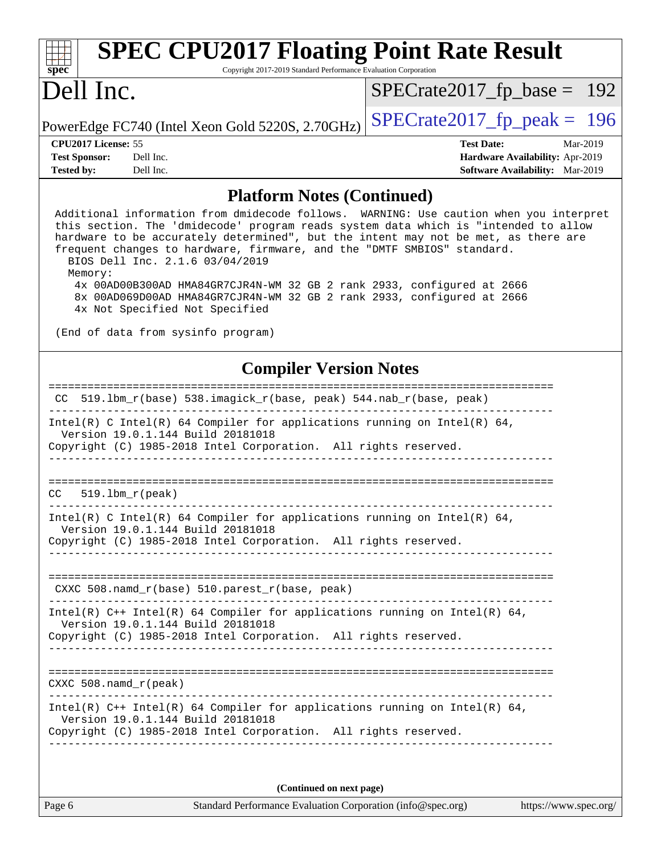| <b>SPEC CPU2017 Floating Point Rate Result</b><br>Copyright 2017-2019 Standard Performance Evaluation Corporation<br>spec <sup>®</sup>                                                                                                                                                                                                                                                                                                                                                                                                                                                                                   |                                                                                                            |  |  |  |
|--------------------------------------------------------------------------------------------------------------------------------------------------------------------------------------------------------------------------------------------------------------------------------------------------------------------------------------------------------------------------------------------------------------------------------------------------------------------------------------------------------------------------------------------------------------------------------------------------------------------------|------------------------------------------------------------------------------------------------------------|--|--|--|
| Dell Inc.                                                                                                                                                                                                                                                                                                                                                                                                                                                                                                                                                                                                                | $SPECrate2017_fp\_base = 192$                                                                              |  |  |  |
| PowerEdge FC740 (Intel Xeon Gold 5220S, 2.70GHz)                                                                                                                                                                                                                                                                                                                                                                                                                                                                                                                                                                         | $SPECrate2017_fp\_peak = 196$                                                                              |  |  |  |
| CPU2017 License: 55<br><b>Test Sponsor:</b><br>Dell Inc.<br><b>Tested by:</b><br>Dell Inc.                                                                                                                                                                                                                                                                                                                                                                                                                                                                                                                               | <b>Test Date:</b><br>Mar-2019<br>Hardware Availability: Apr-2019<br><b>Software Availability:</b> Mar-2019 |  |  |  |
| <b>Platform Notes (Continued)</b>                                                                                                                                                                                                                                                                                                                                                                                                                                                                                                                                                                                        |                                                                                                            |  |  |  |
| Additional information from dmidecode follows. WARNING: Use caution when you interpret<br>this section. The 'dmidecode' program reads system data which is "intended to allow<br>hardware to be accurately determined", but the intent may not be met, as there are<br>frequent changes to hardware, firmware, and the "DMTF SMBIOS" standard.<br>BIOS Dell Inc. 2.1.6 03/04/2019<br>Memory:<br>4x 00AD00B300AD HMA84GR7CJR4N-WM 32 GB 2 rank 2933, configured at 2666<br>8x 00AD069D00AD HMA84GR7CJR4N-WM 32 GB 2 rank 2933, configured at 2666<br>4x Not Specified Not Specified<br>(End of data from sysinfo program) |                                                                                                            |  |  |  |
| <b>Compiler Version Notes</b>                                                                                                                                                                                                                                                                                                                                                                                                                                                                                                                                                                                            |                                                                                                            |  |  |  |
| 519.1bm_r(base)    538.imagick_r(base, peak)    544.nab_r(base, peak)<br>CC.                                                                                                                                                                                                                                                                                                                                                                                                                                                                                                                                             |                                                                                                            |  |  |  |
| Intel(R) C Intel(R) 64 Compiler for applications running on Intel(R) 64,<br>Version 19.0.1.144 Build 20181018<br>Copyright (C) 1985-2018 Intel Corporation. All rights reserved.                                                                                                                                                                                                                                                                                                                                                                                                                                         |                                                                                                            |  |  |  |
| $519.1bm_r(peak)$<br>CC.                                                                                                                                                                                                                                                                                                                                                                                                                                                                                                                                                                                                 |                                                                                                            |  |  |  |
| Intel(R) C Intel(R) 64 Compiler for applications running on Intel(R) 64,<br>Version 19.0.1.144 Build 20181018<br>Copyright (C) 1985-2018 Intel Corporation. All rights reserved.<br>_________________________________                                                                                                                                                                                                                                                                                                                                                                                                    |                                                                                                            |  |  |  |
| CXXC 508.namd_r(base) 510.parest_r(base, peak)<br>----------------------------                                                                                                                                                                                                                                                                                                                                                                                                                                                                                                                                           |                                                                                                            |  |  |  |
| Intel(R) $C++$ Intel(R) 64 Compiler for applications running on Intel(R) 64,<br>Version 19.0.1.144 Build 20181018<br>Copyright (C) 1985-2018 Intel Corporation. All rights reserved.                                                                                                                                                                                                                                                                                                                                                                                                                                     |                                                                                                            |  |  |  |
| $CXXC 508.namd_r (peak)$                                                                                                                                                                                                                                                                                                                                                                                                                                                                                                                                                                                                 |                                                                                                            |  |  |  |
| Intel(R) $C++$ Intel(R) 64 Compiler for applications running on Intel(R) 64,<br>Version 19.0.1.144 Build 20181018<br>Copyright (C) 1985-2018 Intel Corporation. All rights reserved.                                                                                                                                                                                                                                                                                                                                                                                                                                     |                                                                                                            |  |  |  |
| (Continued on next page)                                                                                                                                                                                                                                                                                                                                                                                                                                                                                                                                                                                                 |                                                                                                            |  |  |  |
| Standard Performance Evaluation Corporation (info@spec.org)<br>Page 6                                                                                                                                                                                                                                                                                                                                                                                                                                                                                                                                                    | https://www.spec.org/                                                                                      |  |  |  |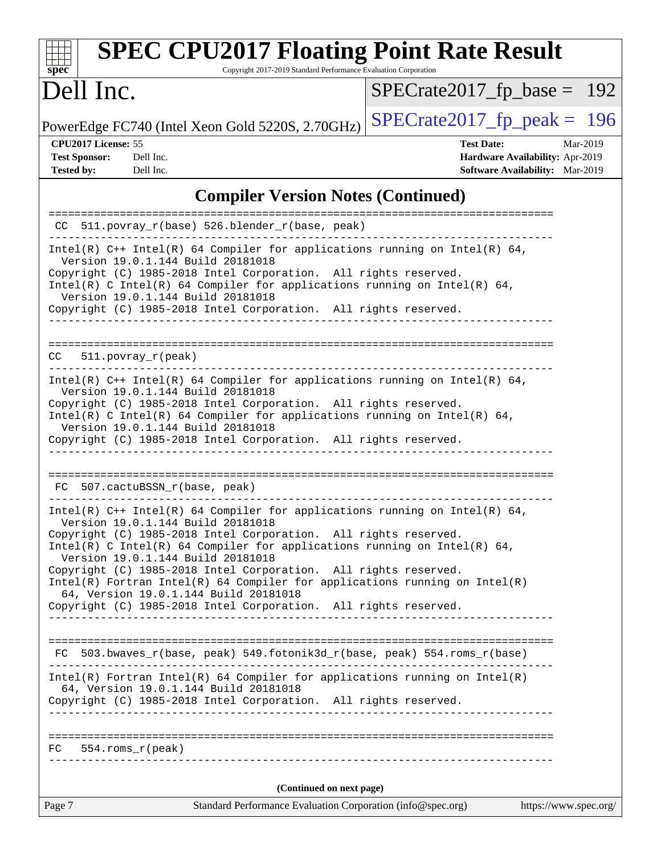| <b>SPEC CPU2017 Floating Point Rate Result</b><br>Copyright 2017-2019 Standard Performance Evaluation Corporation<br>$spec^*$                                                                                                                                                                                                                                                                                                                                                                                                                                                                               |                                                                                                     |
|-------------------------------------------------------------------------------------------------------------------------------------------------------------------------------------------------------------------------------------------------------------------------------------------------------------------------------------------------------------------------------------------------------------------------------------------------------------------------------------------------------------------------------------------------------------------------------------------------------------|-----------------------------------------------------------------------------------------------------|
| Dell Inc.                                                                                                                                                                                                                                                                                                                                                                                                                                                                                                                                                                                                   | $SPECrate2017_fp\_base = 192$                                                                       |
| PowerEdge FC740 (Intel Xeon Gold 5220S, 2.70GHz)                                                                                                                                                                                                                                                                                                                                                                                                                                                                                                                                                            | $SPECTate2017$ _fp_peak = 196                                                                       |
| CPU2017 License: 55<br><b>Test Sponsor:</b><br>Dell Inc.<br><b>Tested by:</b><br>Dell Inc.                                                                                                                                                                                                                                                                                                                                                                                                                                                                                                                  | Mar-2019<br><b>Test Date:</b><br>Hardware Availability: Apr-2019<br>Software Availability: Mar-2019 |
| <b>Compiler Version Notes (Continued)</b>                                                                                                                                                                                                                                                                                                                                                                                                                                                                                                                                                                   |                                                                                                     |
| 511.povray_r(base) 526.blender_r(base, peak)                                                                                                                                                                                                                                                                                                                                                                                                                                                                                                                                                                |                                                                                                     |
| Intel(R) $C++$ Intel(R) 64 Compiler for applications running on Intel(R) 64,<br>Version 19.0.1.144 Build 20181018<br>Copyright (C) 1985-2018 Intel Corporation. All rights reserved.<br>Intel(R) C Intel(R) 64 Compiler for applications running on Intel(R) 64,<br>Version 19.0.1.144 Build 20181018<br>Copyright (C) 1985-2018 Intel Corporation. All rights reserved.                                                                                                                                                                                                                                    |                                                                                                     |
| $511. povray_r (peak)$<br>CC.<br>Intel(R) $C++$ Intel(R) 64 Compiler for applications running on Intel(R) 64,<br>Version 19.0.1.144 Build 20181018<br>Copyright (C) 1985-2018 Intel Corporation. All rights reserved.<br>Intel(R) C Intel(R) 64 Compiler for applications running on Intel(R) 64,<br>Version 19.0.1.144 Build 20181018                                                                                                                                                                                                                                                                      |                                                                                                     |
| Copyright (C) 1985-2018 Intel Corporation. All rights reserved.<br>507.cactuBSSN_r(base, peak)<br>FC.                                                                                                                                                                                                                                                                                                                                                                                                                                                                                                       |                                                                                                     |
| Intel(R) $C++$ Intel(R) 64 Compiler for applications running on Intel(R) 64,<br>Version 19.0.1.144 Build 20181018<br>Copyright (C) 1985-2018 Intel Corporation. All rights reserved.<br>$Intel(R)$ C Intel(R) 64 Compiler for applications running on Intel(R) 64,<br>Version 19.0.1.144 Build 20181018<br>Copyright (C) 1985-2018 Intel Corporation. All rights reserved.<br>$Intel(R)$ Fortran Intel(R) 64 Compiler for applications running on Intel(R)<br>64, Version 19.0.1.144 Build 20181018<br>Copyright (C) 1985-2018 Intel Corporation. All rights reserved.<br>_________________________________ |                                                                                                     |
| FC 503.bwaves_r(base, peak) 549.fotonik3d_r(base, peak) 554.roms_r(base)<br>$Intel(R)$ Fortran Intel(R) 64 Compiler for applications running on Intel(R)<br>64, Version 19.0.1.144 Build 20181018<br>Copyright (C) 1985-2018 Intel Corporation. All rights reserved.<br>$FC$ 554. roms $r$ (peak)                                                                                                                                                                                                                                                                                                           |                                                                                                     |
| (Continued on next page)                                                                                                                                                                                                                                                                                                                                                                                                                                                                                                                                                                                    |                                                                                                     |
| Page 7<br>Standard Performance Evaluation Corporation (info@spec.org)                                                                                                                                                                                                                                                                                                                                                                                                                                                                                                                                       | https://www.spec.org/                                                                               |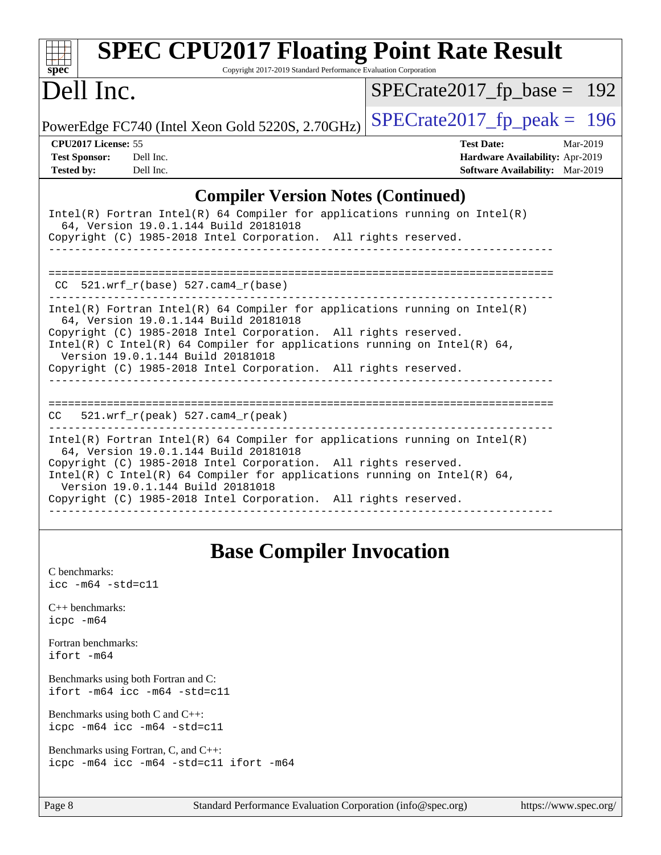| <b>SPEC CPU2017 Floating Point Rate Result</b><br>Copyright 2017-2019 Standard Performance Evaluation Corporation<br>$SDec^*$                                                                                                                                                                                                                                                |                                        |
|------------------------------------------------------------------------------------------------------------------------------------------------------------------------------------------------------------------------------------------------------------------------------------------------------------------------------------------------------------------------------|----------------------------------------|
| Dell Inc.                                                                                                                                                                                                                                                                                                                                                                    | $SPECrate2017_fp\_base = 192$          |
| PowerEdge FC740 (Intel Xeon Gold 5220S, 2.70GHz)                                                                                                                                                                                                                                                                                                                             | $SPECTate2017_fp\_peak = 196$          |
| CPU <sub>2017</sub> License: 55                                                                                                                                                                                                                                                                                                                                              | <b>Test Date:</b><br>Mar-2019          |
| <b>Test Sponsor:</b><br>Dell Inc.                                                                                                                                                                                                                                                                                                                                            | Hardware Availability: Apr-2019        |
| <b>Tested by:</b><br>Dell Inc.                                                                                                                                                                                                                                                                                                                                               | <b>Software Availability:</b> Mar-2019 |
| <b>Compiler Version Notes (Continued)</b>                                                                                                                                                                                                                                                                                                                                    |                                        |
| $Intel(R)$ Fortran Intel(R) 64 Compiler for applications running on Intel(R)<br>64, Version 19.0.1.144 Build 20181018<br>Copyright (C) 1985-2018 Intel Corporation. All rights reserved.                                                                                                                                                                                     |                                        |
| $CC$ 521.wrf_r(base) 527.cam4_r(base)                                                                                                                                                                                                                                                                                                                                        |                                        |
| $Intel(R)$ Fortran Intel(R) 64 Compiler for applications running on Intel(R)<br>64, Version 19.0.1.144 Build 20181018<br>Copyright (C) 1985-2018 Intel Corporation. All rights reserved.<br>Intel(R) C Intel(R) 64 Compiler for applications running on Intel(R) 64,<br>Version 19.0.1.144 Build 20181018<br>Copyright (C) 1985-2018 Intel Corporation. All rights reserved. |                                        |
| 521.wrf_r(peak) 527.cam4_r(peak)<br>CC.                                                                                                                                                                                                                                                                                                                                      |                                        |
| $Intel(R)$ Fortran Intel(R) 64 Compiler for applications running on Intel(R)<br>64, Version 19.0.1.144 Build 20181018<br>Copyright (C) 1985-2018 Intel Corporation. All rights reserved.<br>Intel(R) C Intel(R) 64 Compiler for applications running on Intel(R) 64,<br>Version 19.0.1.144 Build 20181018<br>Copyright (C) 1985-2018 Intel Corporation. All rights reserved. |                                        |

# **[Base Compiler Invocation](http://www.spec.org/auto/cpu2017/Docs/result-fields.html#BaseCompilerInvocation)**

| C benchmarks:<br>icc -m64 -std=c11                                              |
|---------------------------------------------------------------------------------|
| $C_{++}$ benchmarks:<br>icpc -m64                                               |
| Fortran benchmarks:<br>ifort -m64                                               |
| Benchmarks using both Fortran and C:<br>ifort -m64 icc -m64 -std=c11            |
| Benchmarks using both $C$ and $C_{++}$ :<br>icpc -m64 icc -m64 -std=c11         |
| Benchmarks using Fortran, C, and C++:<br>icpc -m64 icc -m64 -std=c11 ifort -m64 |
|                                                                                 |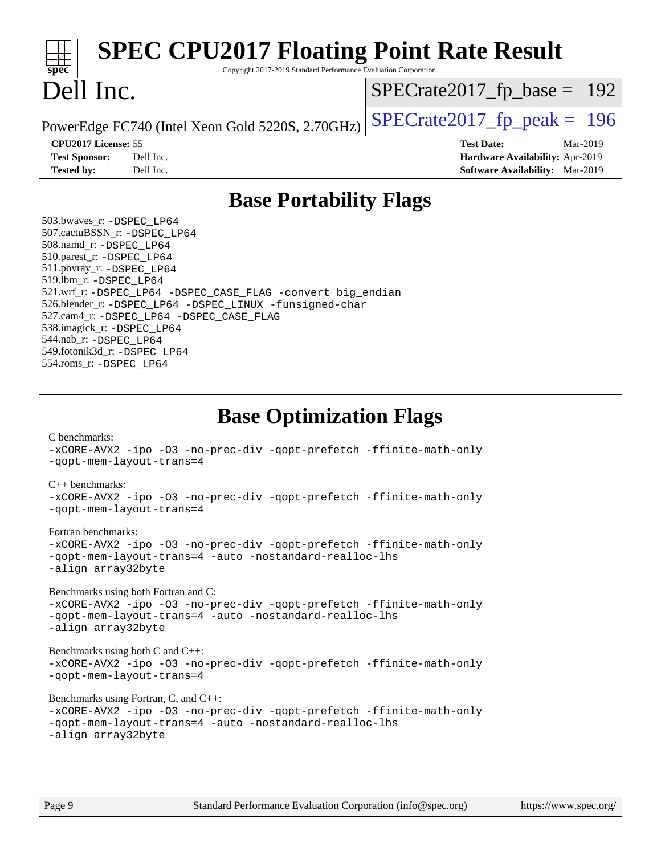| <b>SPEC CPU2017 Floating Point Rate Result</b><br>Copyright 2017-2019 Standard Performance Evaluation Corporation<br>spec <sup>®</sup>                                                                                                                                                                                                                                                                                                                                                                                                                                                                                                                                                                                                                                                                                                                                                                                                                                                            |                                                                                                            |
|---------------------------------------------------------------------------------------------------------------------------------------------------------------------------------------------------------------------------------------------------------------------------------------------------------------------------------------------------------------------------------------------------------------------------------------------------------------------------------------------------------------------------------------------------------------------------------------------------------------------------------------------------------------------------------------------------------------------------------------------------------------------------------------------------------------------------------------------------------------------------------------------------------------------------------------------------------------------------------------------------|------------------------------------------------------------------------------------------------------------|
| Dell Inc.                                                                                                                                                                                                                                                                                                                                                                                                                                                                                                                                                                                                                                                                                                                                                                                                                                                                                                                                                                                         | $SPECrate2017_fp\_base = 192$                                                                              |
| PowerEdge FC740 (Intel Xeon Gold 5220S, 2.70GHz)                                                                                                                                                                                                                                                                                                                                                                                                                                                                                                                                                                                                                                                                                                                                                                                                                                                                                                                                                  | $SPECTate2017$ fp peak = 196                                                                               |
| CPU2017 License: 55<br><b>Test Sponsor:</b><br>Dell Inc.<br>Dell Inc.<br><b>Tested by:</b>                                                                                                                                                                                                                                                                                                                                                                                                                                                                                                                                                                                                                                                                                                                                                                                                                                                                                                        | <b>Test Date:</b><br>Mar-2019<br>Hardware Availability: Apr-2019<br><b>Software Availability:</b> Mar-2019 |
| <b>Base Portability Flags</b>                                                                                                                                                                                                                                                                                                                                                                                                                                                                                                                                                                                                                                                                                                                                                                                                                                                                                                                                                                     |                                                                                                            |
| 503.bwaves_r: -DSPEC LP64<br>507.cactuBSSN_r: -DSPEC_LP64<br>508.namd_r: -DSPEC_LP64<br>510.parest_r: -DSPEC LP64<br>511.povray_r: -DSPEC_LP64<br>519.lbm_r: -DSPEC_LP64<br>521.wrf_r: -DSPEC_LP64 -DSPEC_CASE_FLAG -convert big_endian<br>526.blender_r: -DSPEC_LP64 -DSPEC_LINUX -funsigned-char<br>527.cam4_r: -DSPEC_LP64 -DSPEC_CASE_FLAG<br>538.imagick_r: -DSPEC_LP64<br>544.nab_r: -DSPEC LP64<br>549.fotonik3d_r: -DSPEC LP64<br>554.roms_r: -DSPEC_LP64                                                                                                                                                                                                                                                                                                                                                                                                                                                                                                                                 |                                                                                                            |
| <b>Base Optimization Flags</b><br>C benchmarks:<br>-xCORE-AVX2 -ipo -03 -no-prec-div -qopt-prefetch -ffinite-math-only<br>-gopt-mem-layout-trans=4<br>$C_{++}$ benchmarks:<br>-xCORE-AVX2 -ipo -03 -no-prec-div -qopt-prefetch -ffinite-math-only<br>-qopt-mem-layout-trans=4<br>Fortran benchmarks:<br>-xCORE-AVX2 -ipo -03 -no-prec-div -qopt-prefetch -ffinite-math-only<br>-gopt-mem-layout-trans=4 -auto -nostandard-realloc-lhs<br>-align array32byte<br>Benchmarks using both Fortran and C:<br>-xCORE-AVX2 -ipo -03 -no-prec-div -qopt-prefetch -ffinite-math-only<br>-qopt-mem-layout-trans=4 -auto -nostandard-realloc-lhs<br>-align array32byte<br>Benchmarks using both C and C++:<br>-xCORE-AVX2 -ipo -03 -no-prec-div -qopt-prefetch -ffinite-math-only<br>-qopt-mem-layout-trans=4<br>Benchmarks using Fortran, C, and C++:<br>-xCORE-AVX2 -ipo -03 -no-prec-div -qopt-prefetch -ffinite-math-only<br>-qopt-mem-layout-trans=4 -auto -nostandard-realloc-lhs<br>-align array32byte |                                                                                                            |
| Standard Performance Evaluation Corporation (info@spec.org)<br>Page 9                                                                                                                                                                                                                                                                                                                                                                                                                                                                                                                                                                                                                                                                                                                                                                                                                                                                                                                             | https://www.spec.org/                                                                                      |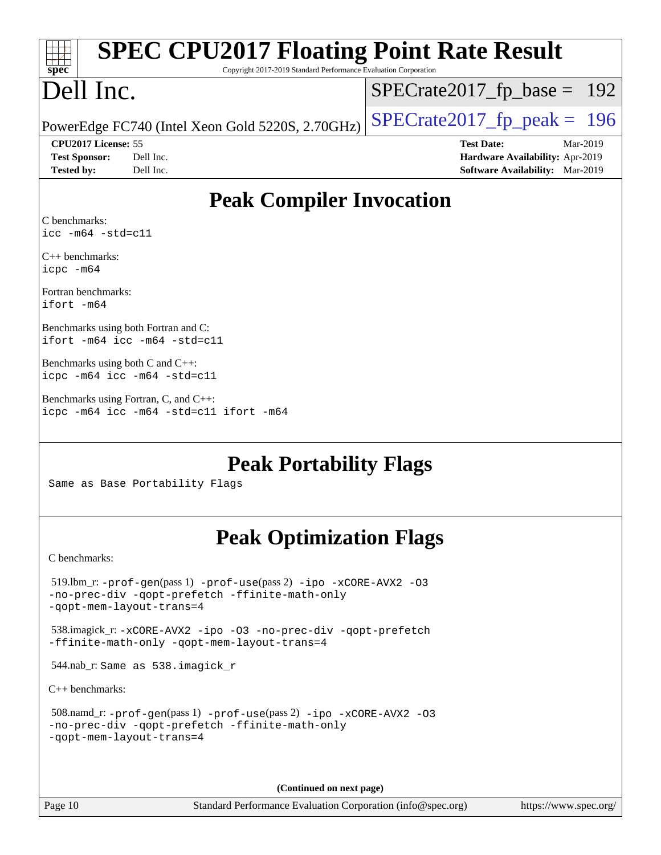| <b>SPEC CPU2017 Floating Point Rate Result</b><br>spec <sup>®</sup><br>Copyright 2017-2019 Standard Performance Evaluation Corporation                      |                                                                                                     |  |  |  |  |  |
|-------------------------------------------------------------------------------------------------------------------------------------------------------------|-----------------------------------------------------------------------------------------------------|--|--|--|--|--|
| Dell Inc.                                                                                                                                                   | $SPECrate2017_fp\_base = 192$                                                                       |  |  |  |  |  |
| PowerEdge FC740 (Intel Xeon Gold 5220S, 2.70GHz)                                                                                                            | $SPECrate2017_fp\_peak = 196$                                                                       |  |  |  |  |  |
| CPU2017 License: 55<br><b>Test Sponsor:</b><br>Dell Inc.<br><b>Tested by:</b><br>Dell Inc.                                                                  | <b>Test Date:</b><br>Mar-2019<br>Hardware Availability: Apr-2019<br>Software Availability: Mar-2019 |  |  |  |  |  |
| <b>Peak Compiler Invocation</b>                                                                                                                             |                                                                                                     |  |  |  |  |  |
| C benchmarks:<br>$\text{icc -m64 -std=c11}$                                                                                                                 |                                                                                                     |  |  |  |  |  |
| $C_{++}$ benchmarks:<br>icpc -m64                                                                                                                           |                                                                                                     |  |  |  |  |  |
| Fortran benchmarks:<br>ifort -m64                                                                                                                           |                                                                                                     |  |  |  |  |  |
| Benchmarks using both Fortran and C:<br>ifort -m64 icc -m64 -std=c11                                                                                        |                                                                                                     |  |  |  |  |  |
| Benchmarks using both $C$ and $C_{++}$ :<br>icpc -m64 icc -m64 -std=c11                                                                                     |                                                                                                     |  |  |  |  |  |
| Benchmarks using Fortran, C, and C++:<br>icpc -m64 icc -m64 -std=c11 ifort -m64                                                                             |                                                                                                     |  |  |  |  |  |
| <b>Peak Portability Flags</b><br>Same as Base Portability Flags                                                                                             |                                                                                                     |  |  |  |  |  |
| <b>Peak Optimization Flags</b>                                                                                                                              |                                                                                                     |  |  |  |  |  |
| C benchmarks:                                                                                                                                               |                                                                                                     |  |  |  |  |  |
| $519.1$ bm_r: - $prof-gen(pass1)$ - $prof-use(pass2)$ -ipo - $xCORE-AVX2$ -03<br>-no-prec-div -qopt-prefetch -ffinite-math-only<br>-gopt-mem-layout-trans=4 |                                                                                                     |  |  |  |  |  |
| 538.imagick_r: -xCORE-AVX2 -ipo -03 -no-prec-div -qopt-prefetch<br>-ffinite-math-only -qopt-mem-layout-trans=4                                              |                                                                                                     |  |  |  |  |  |
| 544.nab_r: Same as 538.imagick_r                                                                                                                            |                                                                                                     |  |  |  |  |  |
| $C_{++}$ benchmarks:                                                                                                                                        |                                                                                                     |  |  |  |  |  |
| 508.namd_r: -prof-gen(pass 1) -prof-use(pass 2) -ipo -xCORE-AVX2 -03<br>-no-prec-div -qopt-prefetch -ffinite-math-only<br>-qopt-mem-layout-trans=4          |                                                                                                     |  |  |  |  |  |
|                                                                                                                                                             |                                                                                                     |  |  |  |  |  |

**(Continued on next page)**

Page 10 Standard Performance Evaluation Corporation [\(info@spec.org\)](mailto:info@spec.org) <https://www.spec.org/>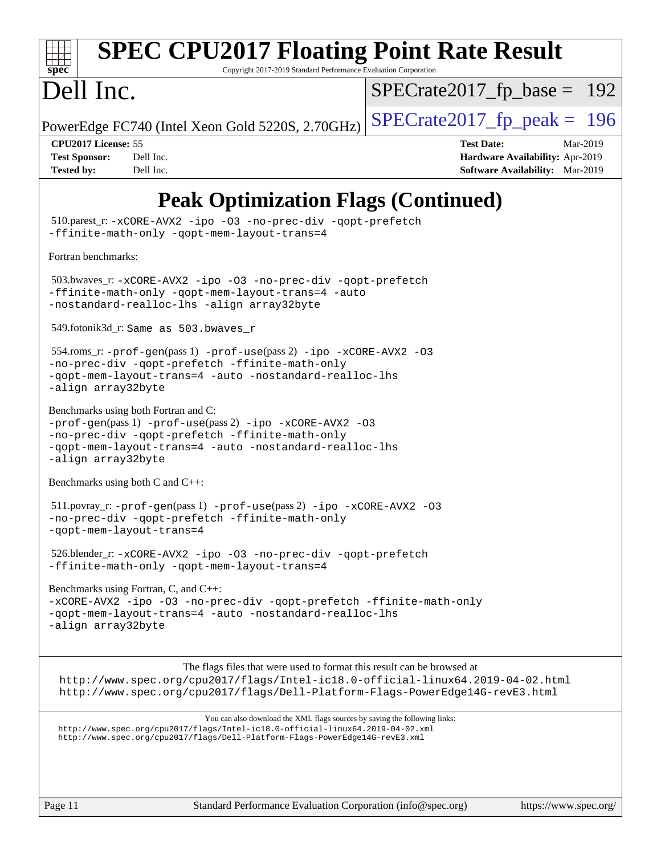

# **[SPEC CPU2017 Floating Point Rate Result](http://www.spec.org/auto/cpu2017/Docs/result-fields.html#SPECCPU2017FloatingPointRateResult)**

Copyright 2017-2019 Standard Performance Evaluation Corporation

# Dell Inc.

[SPECrate2017\\_fp\\_base =](http://www.spec.org/auto/cpu2017/Docs/result-fields.html#SPECrate2017fpbase) 192

PowerEdge FC740 (Intel Xeon Gold 5220S, 2.70GHz)  $\left|$  [SPECrate2017\\_fp\\_peak =](http://www.spec.org/auto/cpu2017/Docs/result-fields.html#SPECrate2017fppeak) 196

**[CPU2017 License:](http://www.spec.org/auto/cpu2017/Docs/result-fields.html#CPU2017License)** 55 **[Test Date:](http://www.spec.org/auto/cpu2017/Docs/result-fields.html#TestDate)** Mar-2019 **[Test Sponsor:](http://www.spec.org/auto/cpu2017/Docs/result-fields.html#TestSponsor)** Dell Inc. **[Hardware Availability:](http://www.spec.org/auto/cpu2017/Docs/result-fields.html#HardwareAvailability)** Apr-2019 **[Tested by:](http://www.spec.org/auto/cpu2017/Docs/result-fields.html#Testedby)** Dell Inc. **[Software Availability:](http://www.spec.org/auto/cpu2017/Docs/result-fields.html#SoftwareAvailability)** Mar-2019

## **[Peak Optimization Flags \(Continued\)](http://www.spec.org/auto/cpu2017/Docs/result-fields.html#PeakOptimizationFlags)**

 510.parest\_r: [-xCORE-AVX2](http://www.spec.org/cpu2017/results/res2019q3/cpu2017-20190708-15943.flags.html#user_peakCXXOPTIMIZE510_parest_r_f-xCORE-AVX2) [-ipo](http://www.spec.org/cpu2017/results/res2019q3/cpu2017-20190708-15943.flags.html#user_peakCXXOPTIMIZE510_parest_r_f-ipo) [-O3](http://www.spec.org/cpu2017/results/res2019q3/cpu2017-20190708-15943.flags.html#user_peakCXXOPTIMIZE510_parest_r_f-O3) [-no-prec-div](http://www.spec.org/cpu2017/results/res2019q3/cpu2017-20190708-15943.flags.html#user_peakCXXOPTIMIZE510_parest_r_f-no-prec-div) [-qopt-prefetch](http://www.spec.org/cpu2017/results/res2019q3/cpu2017-20190708-15943.flags.html#user_peakCXXOPTIMIZE510_parest_r_f-qopt-prefetch) [-ffinite-math-only](http://www.spec.org/cpu2017/results/res2019q3/cpu2017-20190708-15943.flags.html#user_peakCXXOPTIMIZE510_parest_r_f_finite_math_only_cb91587bd2077682c4b38af759c288ed7c732db004271a9512da14a4f8007909a5f1427ecbf1a0fb78ff2a814402c6114ac565ca162485bbcae155b5e4258871) [-qopt-mem-layout-trans=4](http://www.spec.org/cpu2017/results/res2019q3/cpu2017-20190708-15943.flags.html#user_peakCXXOPTIMIZE510_parest_r_f-qopt-mem-layout-trans_fa39e755916c150a61361b7846f310bcdf6f04e385ef281cadf3647acec3f0ae266d1a1d22d972a7087a248fd4e6ca390a3634700869573d231a252c784941a8) [Fortran benchmarks](http://www.spec.org/auto/cpu2017/Docs/result-fields.html#Fortranbenchmarks): 503.bwaves\_r: [-xCORE-AVX2](http://www.spec.org/cpu2017/results/res2019q3/cpu2017-20190708-15943.flags.html#user_peakFOPTIMIZE503_bwaves_r_f-xCORE-AVX2) [-ipo](http://www.spec.org/cpu2017/results/res2019q3/cpu2017-20190708-15943.flags.html#user_peakFOPTIMIZE503_bwaves_r_f-ipo) [-O3](http://www.spec.org/cpu2017/results/res2019q3/cpu2017-20190708-15943.flags.html#user_peakFOPTIMIZE503_bwaves_r_f-O3) [-no-prec-div](http://www.spec.org/cpu2017/results/res2019q3/cpu2017-20190708-15943.flags.html#user_peakFOPTIMIZE503_bwaves_r_f-no-prec-div) [-qopt-prefetch](http://www.spec.org/cpu2017/results/res2019q3/cpu2017-20190708-15943.flags.html#user_peakFOPTIMIZE503_bwaves_r_f-qopt-prefetch) [-ffinite-math-only](http://www.spec.org/cpu2017/results/res2019q3/cpu2017-20190708-15943.flags.html#user_peakFOPTIMIZE503_bwaves_r_f_finite_math_only_cb91587bd2077682c4b38af759c288ed7c732db004271a9512da14a4f8007909a5f1427ecbf1a0fb78ff2a814402c6114ac565ca162485bbcae155b5e4258871) [-qopt-mem-layout-trans=4](http://www.spec.org/cpu2017/results/res2019q3/cpu2017-20190708-15943.flags.html#user_peakFOPTIMIZE503_bwaves_r_f-qopt-mem-layout-trans_fa39e755916c150a61361b7846f310bcdf6f04e385ef281cadf3647acec3f0ae266d1a1d22d972a7087a248fd4e6ca390a3634700869573d231a252c784941a8) [-auto](http://www.spec.org/cpu2017/results/res2019q3/cpu2017-20190708-15943.flags.html#user_peakFOPTIMIZE503_bwaves_r_f-auto) [-nostandard-realloc-lhs](http://www.spec.org/cpu2017/results/res2019q3/cpu2017-20190708-15943.flags.html#user_peakEXTRA_FOPTIMIZE503_bwaves_r_f_2003_std_realloc_82b4557e90729c0f113870c07e44d33d6f5a304b4f63d4c15d2d0f1fab99f5daaed73bdb9275d9ae411527f28b936061aa8b9c8f2d63842963b95c9dd6426b8a) [-align array32byte](http://www.spec.org/cpu2017/results/res2019q3/cpu2017-20190708-15943.flags.html#user_peakEXTRA_FOPTIMIZE503_bwaves_r_align_array32byte_b982fe038af199962ba9a80c053b8342c548c85b40b8e86eb3cc33dee0d7986a4af373ac2d51c3f7cf710a18d62fdce2948f201cd044323541f22fc0fffc51b6) 549.fotonik3d\_r: Same as 503.bwaves\_r 554.roms\_r: [-prof-gen](http://www.spec.org/cpu2017/results/res2019q3/cpu2017-20190708-15943.flags.html#user_peakPASS1_FFLAGSPASS1_LDFLAGS554_roms_r_prof_gen_5aa4926d6013ddb2a31985c654b3eb18169fc0c6952a63635c234f711e6e63dd76e94ad52365559451ec499a2cdb89e4dc58ba4c67ef54ca681ffbe1461d6b36)(pass 1) [-prof-use](http://www.spec.org/cpu2017/results/res2019q3/cpu2017-20190708-15943.flags.html#user_peakPASS2_FFLAGSPASS2_LDFLAGS554_roms_r_prof_use_1a21ceae95f36a2b53c25747139a6c16ca95bd9def2a207b4f0849963b97e94f5260e30a0c64f4bb623698870e679ca08317ef8150905d41bd88c6f78df73f19)(pass 2) [-ipo](http://www.spec.org/cpu2017/results/res2019q3/cpu2017-20190708-15943.flags.html#user_peakPASS1_FOPTIMIZEPASS2_FOPTIMIZE554_roms_r_f-ipo) [-xCORE-AVX2](http://www.spec.org/cpu2017/results/res2019q3/cpu2017-20190708-15943.flags.html#user_peakPASS2_FOPTIMIZE554_roms_r_f-xCORE-AVX2) [-O3](http://www.spec.org/cpu2017/results/res2019q3/cpu2017-20190708-15943.flags.html#user_peakPASS1_FOPTIMIZEPASS2_FOPTIMIZE554_roms_r_f-O3) [-no-prec-div](http://www.spec.org/cpu2017/results/res2019q3/cpu2017-20190708-15943.flags.html#user_peakPASS1_FOPTIMIZEPASS2_FOPTIMIZE554_roms_r_f-no-prec-div) [-qopt-prefetch](http://www.spec.org/cpu2017/results/res2019q3/cpu2017-20190708-15943.flags.html#user_peakPASS1_FOPTIMIZEPASS2_FOPTIMIZE554_roms_r_f-qopt-prefetch) [-ffinite-math-only](http://www.spec.org/cpu2017/results/res2019q3/cpu2017-20190708-15943.flags.html#user_peakPASS1_FOPTIMIZEPASS2_FOPTIMIZE554_roms_r_f_finite_math_only_cb91587bd2077682c4b38af759c288ed7c732db004271a9512da14a4f8007909a5f1427ecbf1a0fb78ff2a814402c6114ac565ca162485bbcae155b5e4258871) [-qopt-mem-layout-trans=4](http://www.spec.org/cpu2017/results/res2019q3/cpu2017-20190708-15943.flags.html#user_peakPASS1_FOPTIMIZEPASS2_FOPTIMIZE554_roms_r_f-qopt-mem-layout-trans_fa39e755916c150a61361b7846f310bcdf6f04e385ef281cadf3647acec3f0ae266d1a1d22d972a7087a248fd4e6ca390a3634700869573d231a252c784941a8) [-auto](http://www.spec.org/cpu2017/results/res2019q3/cpu2017-20190708-15943.flags.html#user_peakPASS2_FOPTIMIZE554_roms_r_f-auto) [-nostandard-realloc-lhs](http://www.spec.org/cpu2017/results/res2019q3/cpu2017-20190708-15943.flags.html#user_peakEXTRA_FOPTIMIZE554_roms_r_f_2003_std_realloc_82b4557e90729c0f113870c07e44d33d6f5a304b4f63d4c15d2d0f1fab99f5daaed73bdb9275d9ae411527f28b936061aa8b9c8f2d63842963b95c9dd6426b8a) [-align array32byte](http://www.spec.org/cpu2017/results/res2019q3/cpu2017-20190708-15943.flags.html#user_peakEXTRA_FOPTIMIZE554_roms_r_align_array32byte_b982fe038af199962ba9a80c053b8342c548c85b40b8e86eb3cc33dee0d7986a4af373ac2d51c3f7cf710a18d62fdce2948f201cd044323541f22fc0fffc51b6) [Benchmarks using both Fortran and C](http://www.spec.org/auto/cpu2017/Docs/result-fields.html#BenchmarksusingbothFortranandC): [-prof-gen](http://www.spec.org/cpu2017/results/res2019q3/cpu2017-20190708-15943.flags.html#user_CC_FCpeak_prof_gen_5aa4926d6013ddb2a31985c654b3eb18169fc0c6952a63635c234f711e6e63dd76e94ad52365559451ec499a2cdb89e4dc58ba4c67ef54ca681ffbe1461d6b36)(pass 1) [-prof-use](http://www.spec.org/cpu2017/results/res2019q3/cpu2017-20190708-15943.flags.html#user_CC_FCpeak_prof_use_1a21ceae95f36a2b53c25747139a6c16ca95bd9def2a207b4f0849963b97e94f5260e30a0c64f4bb623698870e679ca08317ef8150905d41bd88c6f78df73f19)(pass 2) [-ipo](http://www.spec.org/cpu2017/results/res2019q3/cpu2017-20190708-15943.flags.html#user_CC_FCpeak_f-ipo) [-xCORE-AVX2](http://www.spec.org/cpu2017/results/res2019q3/cpu2017-20190708-15943.flags.html#user_CC_FCpeak_f-xCORE-AVX2) [-O3](http://www.spec.org/cpu2017/results/res2019q3/cpu2017-20190708-15943.flags.html#user_CC_FCpeak_f-O3) [-no-prec-div](http://www.spec.org/cpu2017/results/res2019q3/cpu2017-20190708-15943.flags.html#user_CC_FCpeak_f-no-prec-div) [-qopt-prefetch](http://www.spec.org/cpu2017/results/res2019q3/cpu2017-20190708-15943.flags.html#user_CC_FCpeak_f-qopt-prefetch) [-ffinite-math-only](http://www.spec.org/cpu2017/results/res2019q3/cpu2017-20190708-15943.flags.html#user_CC_FCpeak_f_finite_math_only_cb91587bd2077682c4b38af759c288ed7c732db004271a9512da14a4f8007909a5f1427ecbf1a0fb78ff2a814402c6114ac565ca162485bbcae155b5e4258871) [-qopt-mem-layout-trans=4](http://www.spec.org/cpu2017/results/res2019q3/cpu2017-20190708-15943.flags.html#user_CC_FCpeak_f-qopt-mem-layout-trans_fa39e755916c150a61361b7846f310bcdf6f04e385ef281cadf3647acec3f0ae266d1a1d22d972a7087a248fd4e6ca390a3634700869573d231a252c784941a8) [-auto](http://www.spec.org/cpu2017/results/res2019q3/cpu2017-20190708-15943.flags.html#user_CC_FCpeak_f-auto) [-nostandard-realloc-lhs](http://www.spec.org/cpu2017/results/res2019q3/cpu2017-20190708-15943.flags.html#user_CC_FCpeak_f_2003_std_realloc_82b4557e90729c0f113870c07e44d33d6f5a304b4f63d4c15d2d0f1fab99f5daaed73bdb9275d9ae411527f28b936061aa8b9c8f2d63842963b95c9dd6426b8a) [-align array32byte](http://www.spec.org/cpu2017/results/res2019q3/cpu2017-20190708-15943.flags.html#user_CC_FCpeak_align_array32byte_b982fe038af199962ba9a80c053b8342c548c85b40b8e86eb3cc33dee0d7986a4af373ac2d51c3f7cf710a18d62fdce2948f201cd044323541f22fc0fffc51b6) [Benchmarks using both C and C++](http://www.spec.org/auto/cpu2017/Docs/result-fields.html#BenchmarksusingbothCandCXX): 511.povray\_r: [-prof-gen](http://www.spec.org/cpu2017/results/res2019q3/cpu2017-20190708-15943.flags.html#user_peakPASS1_CFLAGSPASS1_CXXFLAGSPASS1_LDFLAGS511_povray_r_prof_gen_5aa4926d6013ddb2a31985c654b3eb18169fc0c6952a63635c234f711e6e63dd76e94ad52365559451ec499a2cdb89e4dc58ba4c67ef54ca681ffbe1461d6b36)(pass 1) [-prof-use](http://www.spec.org/cpu2017/results/res2019q3/cpu2017-20190708-15943.flags.html#user_peakPASS2_CFLAGSPASS2_CXXFLAGSPASS2_LDFLAGS511_povray_r_prof_use_1a21ceae95f36a2b53c25747139a6c16ca95bd9def2a207b4f0849963b97e94f5260e30a0c64f4bb623698870e679ca08317ef8150905d41bd88c6f78df73f19)(pass 2) [-ipo](http://www.spec.org/cpu2017/results/res2019q3/cpu2017-20190708-15943.flags.html#user_peakPASS1_COPTIMIZEPASS1_CXXOPTIMIZEPASS2_COPTIMIZEPASS2_CXXOPTIMIZE511_povray_r_f-ipo) [-xCORE-AVX2](http://www.spec.org/cpu2017/results/res2019q3/cpu2017-20190708-15943.flags.html#user_peakPASS2_COPTIMIZEPASS2_CXXOPTIMIZE511_povray_r_f-xCORE-AVX2) [-O3](http://www.spec.org/cpu2017/results/res2019q3/cpu2017-20190708-15943.flags.html#user_peakPASS1_COPTIMIZEPASS1_CXXOPTIMIZEPASS2_COPTIMIZEPASS2_CXXOPTIMIZE511_povray_r_f-O3) [-no-prec-div](http://www.spec.org/cpu2017/results/res2019q3/cpu2017-20190708-15943.flags.html#user_peakPASS1_COPTIMIZEPASS1_CXXOPTIMIZEPASS2_COPTIMIZEPASS2_CXXOPTIMIZE511_povray_r_f-no-prec-div) [-qopt-prefetch](http://www.spec.org/cpu2017/results/res2019q3/cpu2017-20190708-15943.flags.html#user_peakPASS1_COPTIMIZEPASS1_CXXOPTIMIZEPASS2_COPTIMIZEPASS2_CXXOPTIMIZE511_povray_r_f-qopt-prefetch) [-ffinite-math-only](http://www.spec.org/cpu2017/results/res2019q3/cpu2017-20190708-15943.flags.html#user_peakPASS1_COPTIMIZEPASS1_CXXOPTIMIZEPASS2_COPTIMIZEPASS2_CXXOPTIMIZE511_povray_r_f_finite_math_only_cb91587bd2077682c4b38af759c288ed7c732db004271a9512da14a4f8007909a5f1427ecbf1a0fb78ff2a814402c6114ac565ca162485bbcae155b5e4258871) [-qopt-mem-layout-trans=4](http://www.spec.org/cpu2017/results/res2019q3/cpu2017-20190708-15943.flags.html#user_peakPASS1_COPTIMIZEPASS1_CXXOPTIMIZEPASS2_COPTIMIZEPASS2_CXXOPTIMIZE511_povray_r_f-qopt-mem-layout-trans_fa39e755916c150a61361b7846f310bcdf6f04e385ef281cadf3647acec3f0ae266d1a1d22d972a7087a248fd4e6ca390a3634700869573d231a252c784941a8) 526.blender\_r: [-xCORE-AVX2](http://www.spec.org/cpu2017/results/res2019q3/cpu2017-20190708-15943.flags.html#user_peakCOPTIMIZECXXOPTIMIZE526_blender_r_f-xCORE-AVX2) [-ipo](http://www.spec.org/cpu2017/results/res2019q3/cpu2017-20190708-15943.flags.html#user_peakCOPTIMIZECXXOPTIMIZE526_blender_r_f-ipo) [-O3](http://www.spec.org/cpu2017/results/res2019q3/cpu2017-20190708-15943.flags.html#user_peakCOPTIMIZECXXOPTIMIZE526_blender_r_f-O3) [-no-prec-div](http://www.spec.org/cpu2017/results/res2019q3/cpu2017-20190708-15943.flags.html#user_peakCOPTIMIZECXXOPTIMIZE526_blender_r_f-no-prec-div) [-qopt-prefetch](http://www.spec.org/cpu2017/results/res2019q3/cpu2017-20190708-15943.flags.html#user_peakCOPTIMIZECXXOPTIMIZE526_blender_r_f-qopt-prefetch) [-ffinite-math-only](http://www.spec.org/cpu2017/results/res2019q3/cpu2017-20190708-15943.flags.html#user_peakCOPTIMIZECXXOPTIMIZE526_blender_r_f_finite_math_only_cb91587bd2077682c4b38af759c288ed7c732db004271a9512da14a4f8007909a5f1427ecbf1a0fb78ff2a814402c6114ac565ca162485bbcae155b5e4258871) [-qopt-mem-layout-trans=4](http://www.spec.org/cpu2017/results/res2019q3/cpu2017-20190708-15943.flags.html#user_peakCOPTIMIZECXXOPTIMIZE526_blender_r_f-qopt-mem-layout-trans_fa39e755916c150a61361b7846f310bcdf6f04e385ef281cadf3647acec3f0ae266d1a1d22d972a7087a248fd4e6ca390a3634700869573d231a252c784941a8) [Benchmarks using Fortran, C, and C++:](http://www.spec.org/auto/cpu2017/Docs/result-fields.html#BenchmarksusingFortranCandCXX) [-xCORE-AVX2](http://www.spec.org/cpu2017/results/res2019q3/cpu2017-20190708-15943.flags.html#user_CC_CXX_FCpeak_f-xCORE-AVX2) [-ipo](http://www.spec.org/cpu2017/results/res2019q3/cpu2017-20190708-15943.flags.html#user_CC_CXX_FCpeak_f-ipo) [-O3](http://www.spec.org/cpu2017/results/res2019q3/cpu2017-20190708-15943.flags.html#user_CC_CXX_FCpeak_f-O3) [-no-prec-div](http://www.spec.org/cpu2017/results/res2019q3/cpu2017-20190708-15943.flags.html#user_CC_CXX_FCpeak_f-no-prec-div) [-qopt-prefetch](http://www.spec.org/cpu2017/results/res2019q3/cpu2017-20190708-15943.flags.html#user_CC_CXX_FCpeak_f-qopt-prefetch) [-ffinite-math-only](http://www.spec.org/cpu2017/results/res2019q3/cpu2017-20190708-15943.flags.html#user_CC_CXX_FCpeak_f_finite_math_only_cb91587bd2077682c4b38af759c288ed7c732db004271a9512da14a4f8007909a5f1427ecbf1a0fb78ff2a814402c6114ac565ca162485bbcae155b5e4258871) [-qopt-mem-layout-trans=4](http://www.spec.org/cpu2017/results/res2019q3/cpu2017-20190708-15943.flags.html#user_CC_CXX_FCpeak_f-qopt-mem-layout-trans_fa39e755916c150a61361b7846f310bcdf6f04e385ef281cadf3647acec3f0ae266d1a1d22d972a7087a248fd4e6ca390a3634700869573d231a252c784941a8) [-auto](http://www.spec.org/cpu2017/results/res2019q3/cpu2017-20190708-15943.flags.html#user_CC_CXX_FCpeak_f-auto) [-nostandard-realloc-lhs](http://www.spec.org/cpu2017/results/res2019q3/cpu2017-20190708-15943.flags.html#user_CC_CXX_FCpeak_f_2003_std_realloc_82b4557e90729c0f113870c07e44d33d6f5a304b4f63d4c15d2d0f1fab99f5daaed73bdb9275d9ae411527f28b936061aa8b9c8f2d63842963b95c9dd6426b8a) [-align array32byte](http://www.spec.org/cpu2017/results/res2019q3/cpu2017-20190708-15943.flags.html#user_CC_CXX_FCpeak_align_array32byte_b982fe038af199962ba9a80c053b8342c548c85b40b8e86eb3cc33dee0d7986a4af373ac2d51c3f7cf710a18d62fdce2948f201cd044323541f22fc0fffc51b6) The flags files that were used to format this result can be browsed at <http://www.spec.org/cpu2017/flags/Intel-ic18.0-official-linux64.2019-04-02.html> <http://www.spec.org/cpu2017/flags/Dell-Platform-Flags-PowerEdge14G-revE3.html> You can also download the XML flags sources by saving the following links: <http://www.spec.org/cpu2017/flags/Intel-ic18.0-official-linux64.2019-04-02.xml> <http://www.spec.org/cpu2017/flags/Dell-Platform-Flags-PowerEdge14G-revE3.xml>